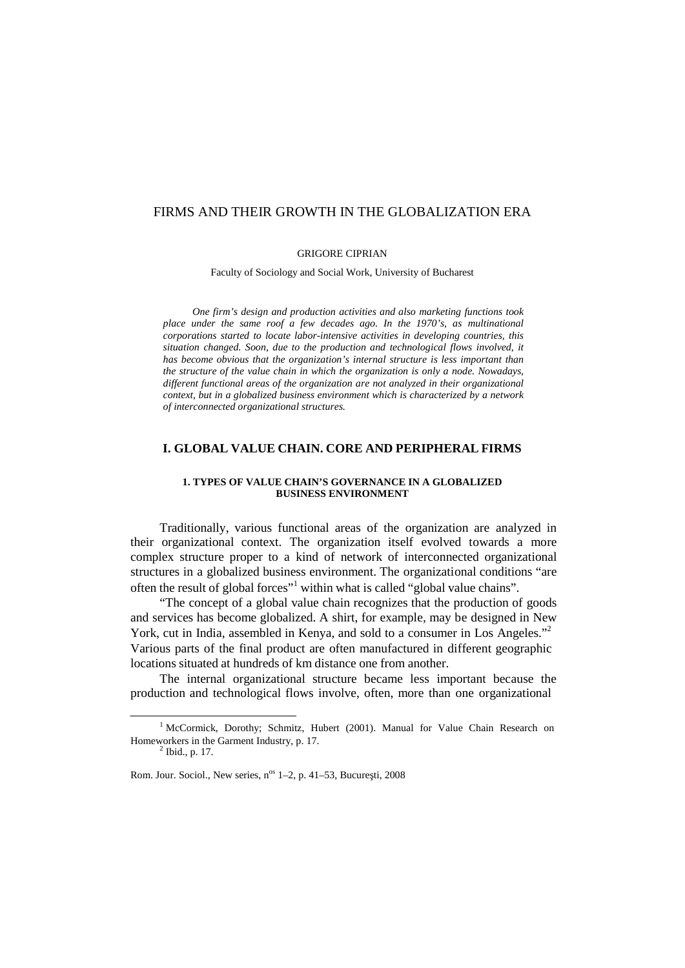# FIRMS AND THEIR GROWTH IN THE GLOBALIZATION ERA

#### GRIGORE CIPRIAN

Faculty of Sociology and Social Work, University of Bucharest

*One firm's design and production activities and also marketing functions took place under the same roof a few decades ago. In the 1970's, as multinational corporations started to locate labor-intensive activities in developing countries, this situation changed. Soon, due to the production and technological flows involved, it has become obvious that the organization's internal structure is less important than the structure of the value chain in which the organization is only a node. Nowadays, different functional areas of the organization are not analyzed in their organizational context, but in a globalized business environment which is characterized by a network of interconnected organizational structures.*

## **I. GLOBAL VALUE CHAIN. CORE AND PERIPHERAL FIRMS**

#### **1. TYPES OF VALUE CHAIN'S GOVERNANCE IN A GLOBALIZED BUSINESS ENVIRONMENT**

Traditionally, various functional areas of the organization are analyzed in their organizational context. The organization itself evolved towards a more complex structure proper to a kind of network of interconnected organizational structures in a globalized business environment. The organizational conditions "are often the result of global forces" <sup>1</sup> within what is called "global value chains".

"The concept of a global value chain recognizes that the production of goods and services has become globalized. A shirt, for example, may be designed in New York, cut in India, assembled in Kenya, and sold to a consumer in Los Angeles."<sup>2</sup> Various parts of the final product are often manufactured in different geographic locations situated at hundreds of km distance one from another.

The internal organizational structure became less important because the production and technological flows involve, often, more than one organizational

<sup>&</sup>lt;sup>1</sup> McCormick, Dorothy; Schmitz, Hubert (2001). Manual for Value Chain Research on Homeworkers in the Garment Industry, p. 17. <sup>2</sup>

 $<sup>2</sup>$  Ibid., p. 17.</sup>

Rom. Jour. Sociol., New series, n<sup>os</sup> 1–2, p. 41–53, Bucure ti, 2008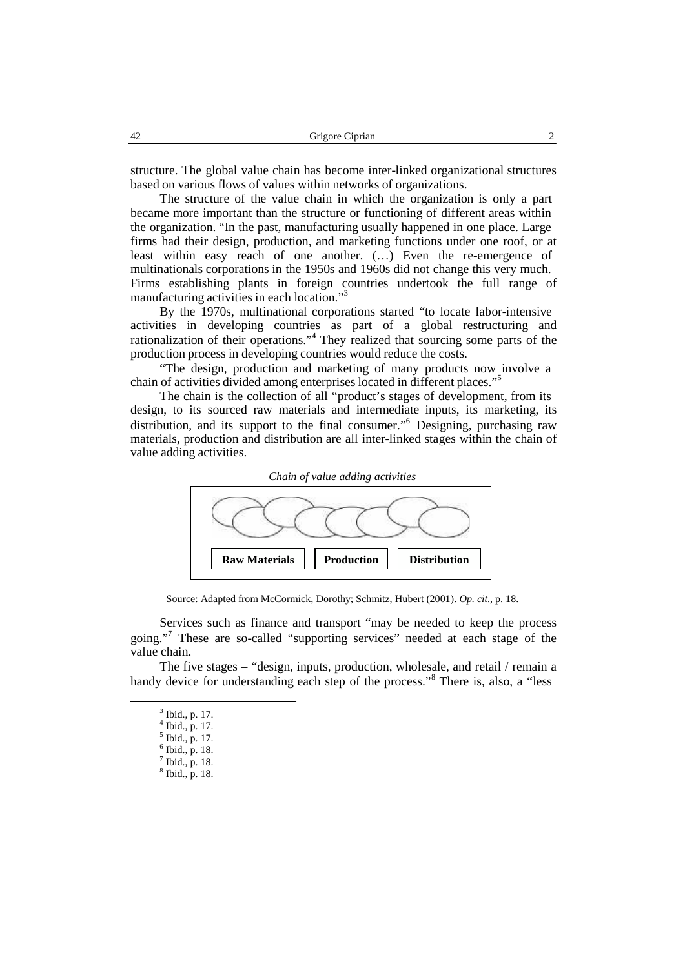structure. The global value chain has become inter-linked organizational structures based on various flows of values within networks of organizations.

The structure of the value chain in which the organization is only a part became more important than the structure or functioning of different areas within the organization. "In the past, manufacturing usually happened in one place. Large firms had their design, production, and marketing functions under one roof, or at least within easy reach of one another. (…) Even the re-emergence of multinationals corporations in the 1950s and 1960s did not change this very much. Firms establishing plants in foreign countries undertook the full range of manufacturing activities in each location." 3

By the 1970s, multinational corporations started "to locate labor-intensive activities in developing countries as part of a global restructuring and rationalization of their operations." <sup>4</sup> They realized that sourcing some parts of the production process in developing countries would reduce the costs.

"The design, production and marketing of many products now involve a chain of activities divided among enterprises located in different places." 5

The chain is the collection of all "product's stages of development, from its design, to its sourced raw materials and intermediate inputs, its marketing, its distribution, and its support to the final consumer." <sup>6</sup> Designing, purchasing raw materials, production and distribution are all inter-linked stages within the chain of value adding activities.



Source: Adapted from McCormick, Dorothy; Schmitz, Hubert (2001). *Op. cit*., p. 18.

Services such as finance and transport "may be needed to keep the process going."<sup>7</sup> These are so-called "supporting services" needed at each stage of the value chain.

The five stages – "design, inputs, production, wholesale, and retail / remain a handy device for understanding each step of the process."<sup>8</sup> There is, also, a "less

<sup>&</sup>lt;sup>3</sup> Ibid., p. 17.  $\frac{3}{4}$  Ibid., p. 17.

 $\frac{4}{5}$  Ibid., p. 17.

 $<sup>5</sup>$  Ibid., p. 17.</sup>

 $<sup>6</sup>$  Ibid., p. 18.</sup>

 $\sqrt{7}$  Ibid., p. 18.

<sup>&</sup>lt;sup>8</sup> Ibid., p. 18.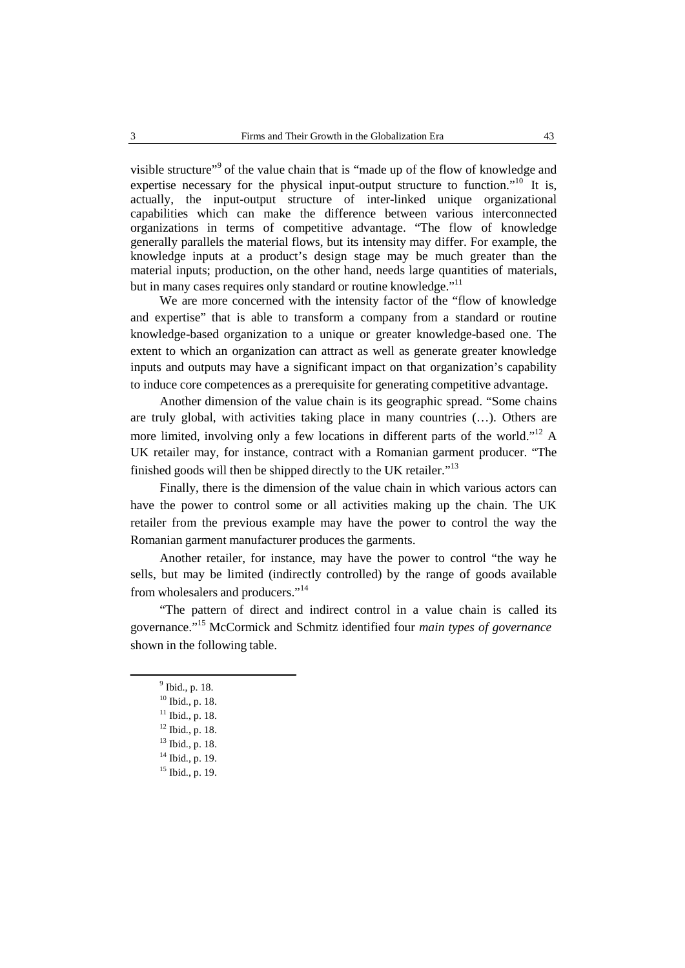visible structure"<sup>9</sup> of the value chain that is "made up of the flow of knowledge and expertise necessary for the physical input-output structure to function."<sup>10</sup> It is, actually, the input-output structure of inter-linked unique organizational capabilities which can make the difference between various interconnected organizations in terms of competitive advantage. "The flow of knowledge generally parallels the material flows, but its intensity may differ. For example, the knowledge inputs at a product's design stage may be much greater than the material inputs; production, on the other hand, needs large quantities of materials, but in many cases requires only standard or routine knowledge."<sup>11</sup>

We are more concerned with the intensity factor of the "flow of knowledge and expertise" that is able to transform a company from a standard or routine knowledge-based organization to a unique or greater knowledge-based one. The extent to which an organization can attract as well as generate greater knowledge inputs and outputs may have a significant impact on that organization's capability to induce core competences as a prerequisite for generating competitive advantage.

Another dimension of the value chain is its geographic spread. "Some chains are truly global, with activities taking place in many countries (…). Others are more limited, involving only a few locations in different parts of the world."<sup>12</sup> A UK retailer may, for instance, contract with a Romanian garment producer. "The finished goods will then be shipped directly to the UK retailer."<sup>13</sup>

Finally, there is the dimension of the value chain in which various actors can have the power to control some or all activities making up the chain. The UK retailer from the previous example may have the power to control the way the Romanian garment manufacturer produces the garments.

Another retailer, for instance, may have the power to control "the way he sells, but may be limited (indirectly controlled) by the range of goods available from wholesalers and producers."<sup>14</sup>

"The pattern of direct and indirect control in a value chain is called its governance." <sup>15</sup> McCormick and Schmitz identified four *main types of governance* shown in the following table.

<sup>9</sup> Ibid., p. 18.

<sup>10</sup> Ibid., p. 18.

 $11$  Ibid., p. 18.

 $12$  Ibid., p. 18.

<sup>13</sup> Ibid., p. 18.

<sup>14</sup> Ibid., p. 19.

 $15$  Ibid., p. 19.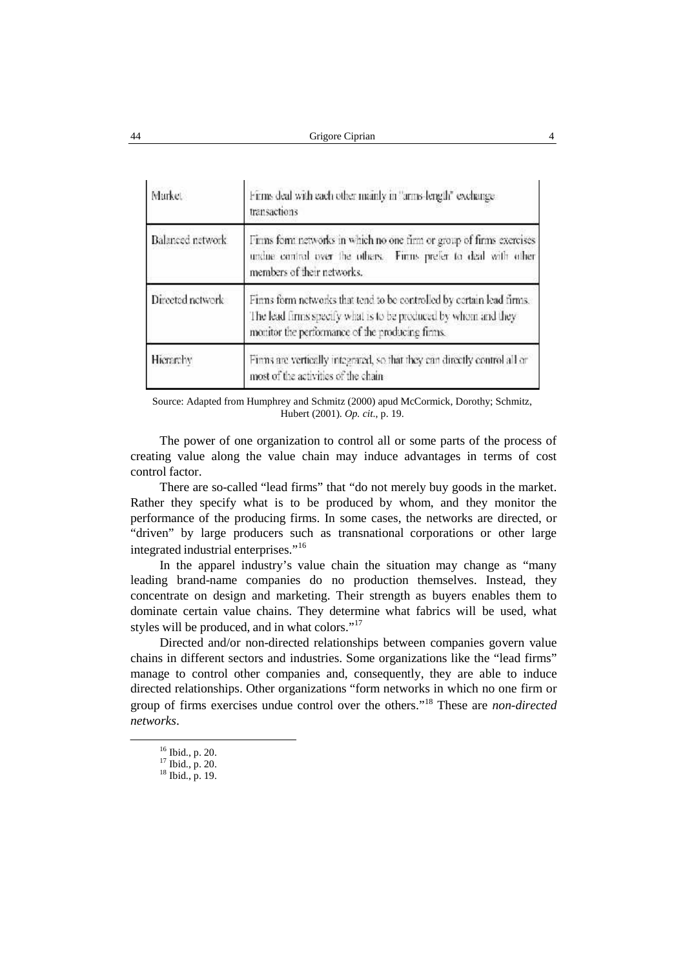| Market           | Firms deal with each other mainly in "arms length" exchange-<br>transactions                                                                                                               |  |  |
|------------------|--------------------------------------------------------------------------------------------------------------------------------------------------------------------------------------------|--|--|
| Balanced network | Firms form networks in which no one firm or group of firms exercises<br>undue control over the others. Firms prefer to deal with other<br>members of their networks.                       |  |  |
| Directed network | Finns form networks that tend to be controlled by cortain lead firms.<br>The lead firms specify what is to be produced by whom and they<br>monitor the performance of the producing firms. |  |  |
| Hierarchy        | Finns are vertically integrated, so that they can directly control all or<br>most of the activities of the chain                                                                           |  |  |

Source: Adapted from Humphrey and Schmitz (2000) apud McCormick, Dorothy; Schmitz, Hubert (2001). *Op. cit*., p. 19.

The power of one organization to control all or some parts of the process of creating value along the value chain may induce advantages in terms of cost control factor.

There are so-called "lead firms" that "do not merely buy goods in the market. Rather they specify what is to be produced by whom, and they monitor the performance of the producing firms. In some cases, the networks are directed, or "driven" by large producers such as transnational corporations or other large integrated industrial enterprises." 16

In the apparel industry's value chain the situation may change as "many leading brand-name companies do no production themselves. Instead, they concentrate on design and marketing. Their strength as buyers enables them to dominate certain value chains. They determine what fabrics will be used, what styles will be produced, and in what colors."<sup>17</sup>

Directed and/or non-directed relationships between companies govern value chains in different sectors and industries. Some organizations like the "lead firms" manage to control other companies and, consequently, they are able to induce directed relationships. Other organizations "form networks in which no one firm or group of firms exercises undue control over the others." <sup>18</sup> These are *non-directed networks*.

<sup>&</sup>lt;sup>16</sup> Ibid., p. 20.<br><sup>17</sup> Ibid., p. 20.<br><sup>18</sup> Ibid., p. 19.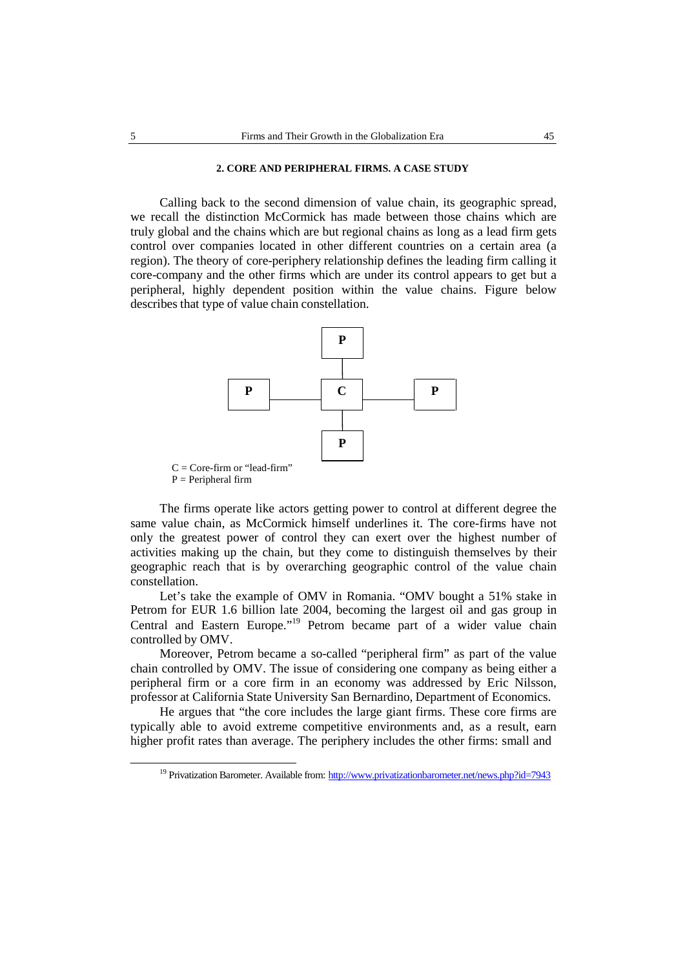# **2. CORE AND PERIPHERAL FIRMS. A CASE STUDY**

Calling back to the second dimension of value chain, its geographic spread, we recall the distinction McCormick has made between those chains which are truly global and the chains which are but regional chains as long as a lead firm gets control over companies located in other different countries on a certain area (a region). The theory of core-periphery relationship defines the leading firm calling it core-company and the other firms which are under its control appears to get but a peripheral, highly dependent position within the value chains. Figure below describes that type of value chain constellation.



 $P = Peripheral firm$ 

The firms operate like actors getting power to control at different degree the same value chain, as McCormick himself underlines it. The core-firms have not only the greatest power of control they can exert over the highest number of activities making up the chain, but they come to distinguish themselves by their geographic reach that is by overarching geographic control of the value chain constellation.

Let's take the example of OMV in Romania. "OMV bought a 51% stake in Petrom for EUR 1.6 billion late 2004, becoming the largest oil and gas group in Central and Eastern Europe."<sup>19</sup> Petrom became part of a wider value chain controlled by OMV.

Moreover, Petrom became a so-called "peripheral firm" as part of the value chain controlled by OMV. The issue of considering one company as being either a peripheral firm or a core firm in an economy was addressed by Eric Nilsson, professor at California State University San Bernardino, Department of Economics.

He argues that "the core includes the large giant firms. These core firms are typically able to avoid extreme competitive environments and, as a result, earn higher profit rates than average. The periphery includes the other firms: small and

<sup>&</sup>lt;sup>19</sup> Privatization Barometer. Available from: http://www.privatizationbarometer.net/news.php?id=7943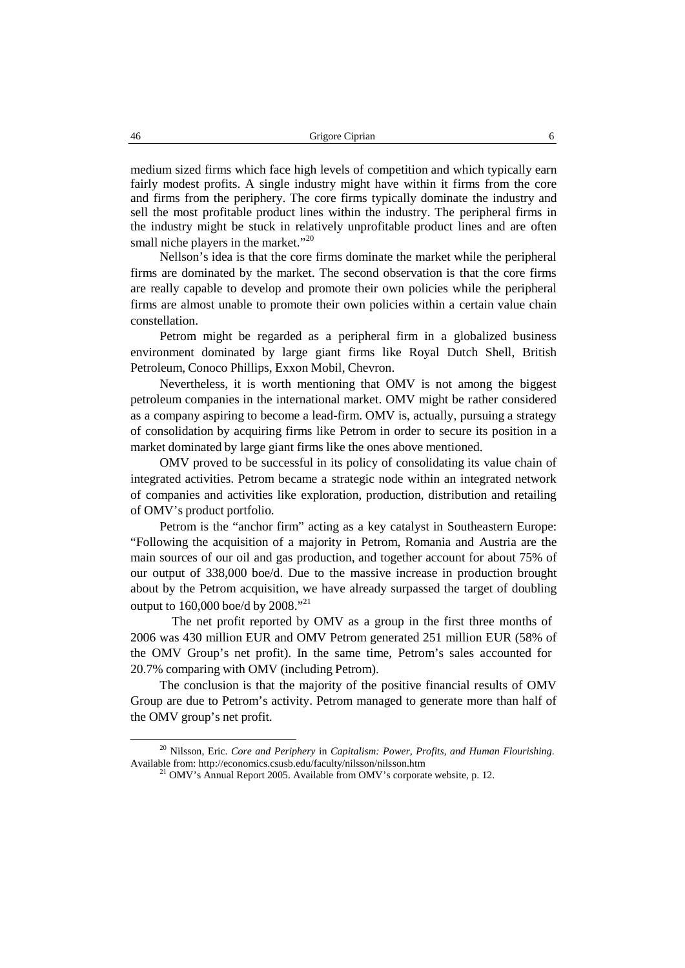medium sized firms which face high levels of competition and which typically earn fairly modest profits. A single industry might have within it firms from the core and firms from the periphery. The core firms typically dominate the industry and sell the most profitable product lines within the industry. The peripheral firms in the industry might be stuck in relatively unprofitable product lines and are often small niche players in the market."<sup>20</sup>

Nellson's idea is that the core firms dominate the market while the peripheral firms are dominated by the market. The second observation is that the core firms are really capable to develop and promote their own policies while the peripheral firms are almost unable to promote their own policies within a certain value chain constellation.

Petrom might be regarded as a peripheral firm in a globalized business environment dominated by large giant firms like Royal Dutch Shell, British Petroleum, Conoco Phillips, Exxon Mobil, Chevron.

Nevertheless, it is worth mentioning that OMV is not among the biggest petroleum companies in the international market. OMV might be rather considered as a company aspiring to become a lead-firm. OMV is, actually, pursuing a strategy of consolidation by acquiring firms like Petrom in order to secure its position in a market dominated by large giant firms like the ones above mentioned.

OMV proved to be successful in its policy of consolidating its value chain of integrated activities. Petrom became a strategic node within an integrated network of companies and activities like exploration, production, distribution and retailing of OMV's product portfolio.

Petrom is the "anchor firm" acting as a key catalyst in Southeastern Europe: "Following the acquisition of a majority in Petrom, Romania and Austria are the main sources of our oil and gas production, and together account for about 75% of our output of 338,000 boe/d. Due to the massive increase in production brought about by the Petrom acquisition, we have already surpassed the target of doubling output to 160,000 boe/d by 2008."<sup>21</sup>

The net profit reported by OMV as agroup in the first three months of 2006 was 430 million EUR and OMV Petrom generated 251 million EUR (58% of the OMV Group's net profit). In the same time, Petrom's sales accounted for 20.7% comparing with OMV (including Petrom).

The conclusion is that the majority of the positive financial results of OMV Group are due to Petrom's activity. Petrom managed to generate more than half of the OMV group's net profit.

<sup>20</sup> Nilsson, Eric. *Core and Periphery* in *Capitalism: Power, Profits, and Human Flourishing*. Available from: http://economics.csusb.edu/faculty/nilsson/nilsson.htm

 $^{21}$  OMV's Annual Report 2005. Available from OMV's corporate website, p. 12.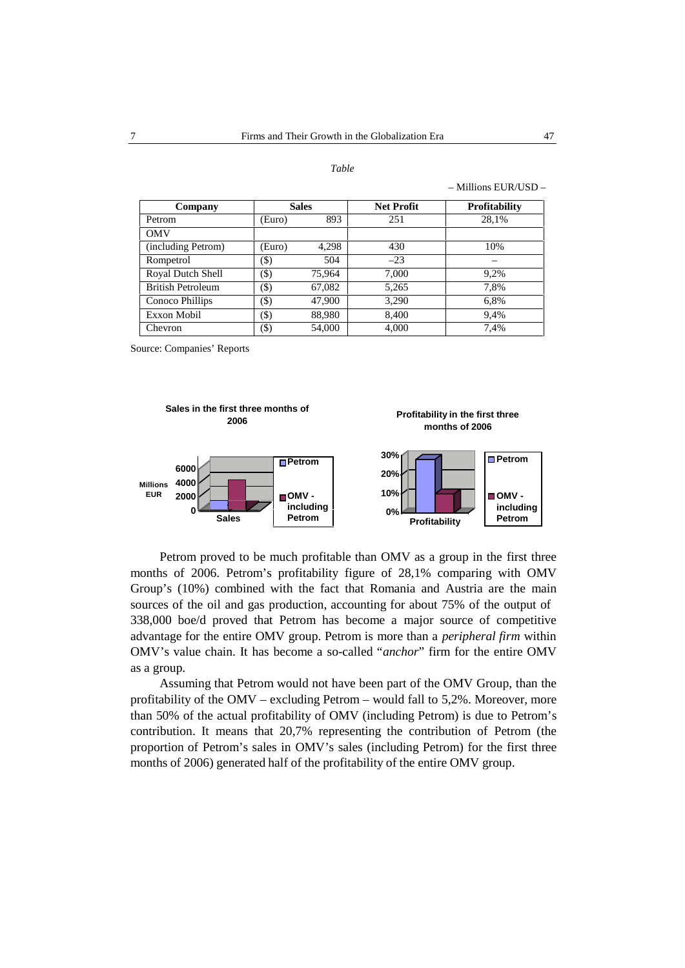#### *Table*

| Company                  | <b>Sales</b> |        | <b>Net Profit</b> | <b>Profitability</b> |
|--------------------------|--------------|--------|-------------------|----------------------|
| Petrom                   | Euro)        | 893    | 251               | 28,1%                |
| <b>OMV</b>               |              |        |                   |                      |
| (including Petrom)       | (Euro)       | 4,298  | 430               | 10%                  |
| Rompetrol                | (\$)         | 504    | $-23$             |                      |
| Royal Dutch Shell        | (\$)         | 75.964 | 7,000             | 9,2%                 |
| <b>British Petroleum</b> | (\$)         | 67,082 | 5,265             | 7,8%                 |
| Conoco Phillips          | (\$)         | 47,900 | 3,290             | 6,8%                 |
| Exxon Mobil              | $(\$)$       | 88,980 | 8.400             | 9.4%                 |
| Chevron                  | (\$)         | 54,000 | 4.000             | 7.4%                 |

Source: Companies' Reports



Petrom proved to be much profitable than OMV as a group in the first three months of 2006. Petrom's profitability figure of 28,1% comparing with OMV Group's (10%) combined with the fact that Romania and Austria are the main sources of the oil and gas production, accounting for about 75% of the output of 338,000 boe/d proved that Petrom has become a major source of competitive advantage for the entire OMV group. Petrom is more than a *peripheral firm* within OMV's value chain. It has become a so-called "*anchor*" firm for the entire OMV as a group.

Assuming that Petrom would not have been part of the OMV Group, than the profitability of the OMV – excluding Petrom – would fall to  $5,2\%$ . Moreover, more than 50% of the actual profitability of OMV (including Petrom) is due to Petrom's contribution. It means that 20,7% representing the contribution of Petrom (the proportion of Petrom's sales in OMV's sales (including Petrom) for the first three months of 2006) generated half of the profitability of the entire OMV group.

– Millions EUR/USD –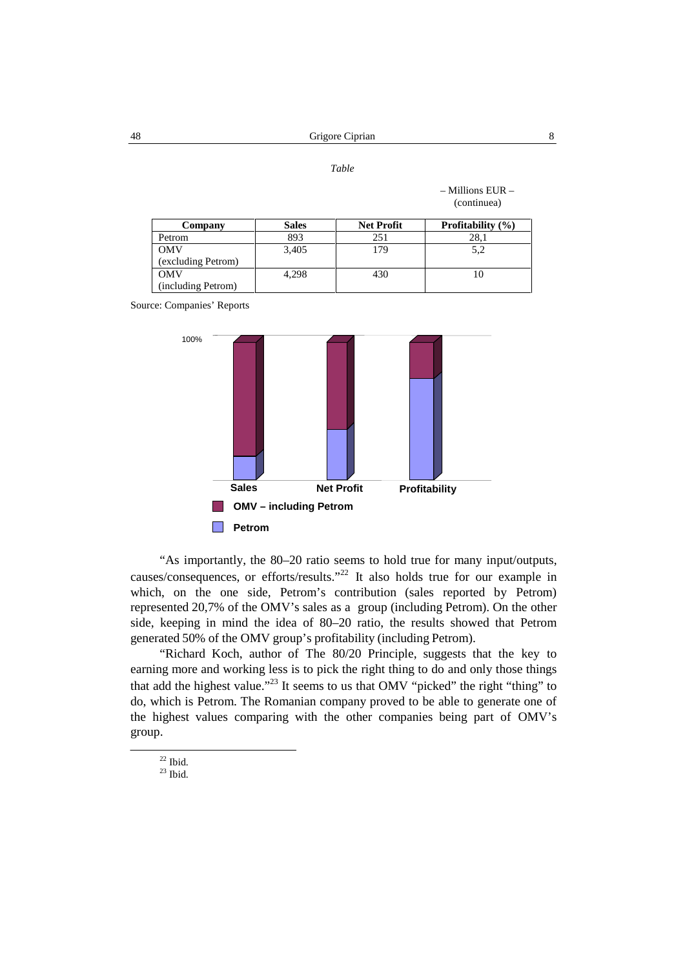*Table*

|                    |              |                   | (continuea)           |
|--------------------|--------------|-------------------|-----------------------|
| Company            | <b>Sales</b> | <b>Net Profit</b> | Profitability $(\% )$ |
| Petrom             | 893          | 251               | 28,1                  |
| <b>OMV</b>         | 3.405        | 179               | 5,2                   |
| (excluding Petrom) |              |                   |                       |
| <b>OMV</b>         | 4,298        | 430               | 10                    |
| (including Petrom) |              |                   |                       |

Source: Companies' Reports



"As importantly, the 80–20 ratio seems to hold true for many input/outputs, causes/consequences, or efforts/results." <sup>22</sup> It also holds true for our example in which, on the one side, Petrom's contribution (sales reported by Petrom) represented 20,7% of the OMV's sales as a group (including Petrom). On the other side, keeping in mind the idea of 80–20 ratio, the results showed that Petrom generated 50% of the OMV group's profitability (including Petrom).

"Richard Koch, author of The 80/20 Principle, suggests that the key to earning more and working less is to pick the right thing to do and only those things that add the highest value."<sup>23</sup> It seems to us that OMV "picked" the right "thing" to do, which is Petrom. The Romanian company proved to be able to generate one of the highest values comparing with the other companies being part of OMV's group.

 $\frac{22}{23}$  Ibid.

– Millions EUR –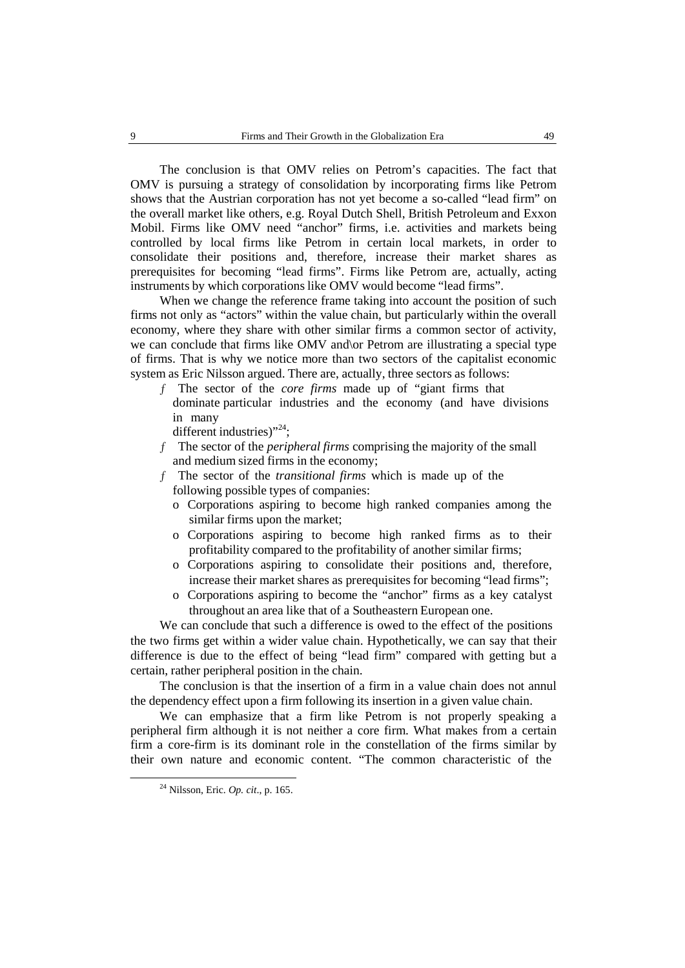The conclusion is that OMV relies on Petrom's capacities. The fact that OMV is pursuing a strategy of consolidation by incorporating firms like Petrom shows that the Austrian corporation has not yet become a so-called "lead firm" on the overall market like others, e.g. Royal Dutch Shell, British Petroleum and Exxon Mobil. Firms like OMV need "anchor" firms, i.e. activities and markets being controlled by local firms like Petrom in certain local markets, in order to consolidate their positions and, therefore, increase their market shares as prerequisites for becoming "lead firms". Firms like Petrom are, actually, acting instruments by which corporations like OMV would become "lead firms".

When we change the reference frame taking into account the position of such firms not only as "actors" within the value chain, but particularly within the overall economy, where they share with other similar firms a common sector of activity, we can conclude that firms like OMV and or Petrom are illustrating a special type of firms. That is why we notice more than two sectors of the capitalist economic system as Eric Nilsson argued. There are, actually, three sectors as follows:

- ƒ The sector of the *core firms* made up of "giant firms that dominate particular industries and the economy (and have divisions in many
	- different industries)"<sup>24</sup>;
- ƒ The sector of the *peripheral firms* comprising the majority of the small and medium sized firms in the economy;
- ƒ The sector of the *transitional firms* which is made up of the following possible types of companies:
	- o Corporations aspiring to become high ranked companies among the similar firms upon the market;
	- o Corporations aspiring to become high ranked firms as to their profitability compared to the profitability of another similar firms;
	- o Corporations aspiring to consolidate their positions and, therefore, increase their market shares as prerequisites for becoming "lead firms";
	- o Corporations aspiring to become the "anchor" firms as a key catalyst throughout an area like that of a Southeastern European one.

We can conclude that such a difference is owed to the effect of the positions the two firms get within a wider value chain. Hypothetically, we can say that their difference is due to the effect of being "lead firm" compared with getting but a certain, rather peripheral position in the chain.

The conclusion is that the insertion of a firm in a value chain does not annul the dependency effect upon a firm following its insertion in a given value chain.

We can emphasize that a firm like Petrom is not properly speaking a peripheral firm although it is not neither a core firm. What makes from a certain firm a core-firm is its dominant role in the constellation of the firms similar by their own nature and economic content. "The common characteristic of the

<sup>24</sup> Nilsson, Eric. *Op. cit*., p. 165.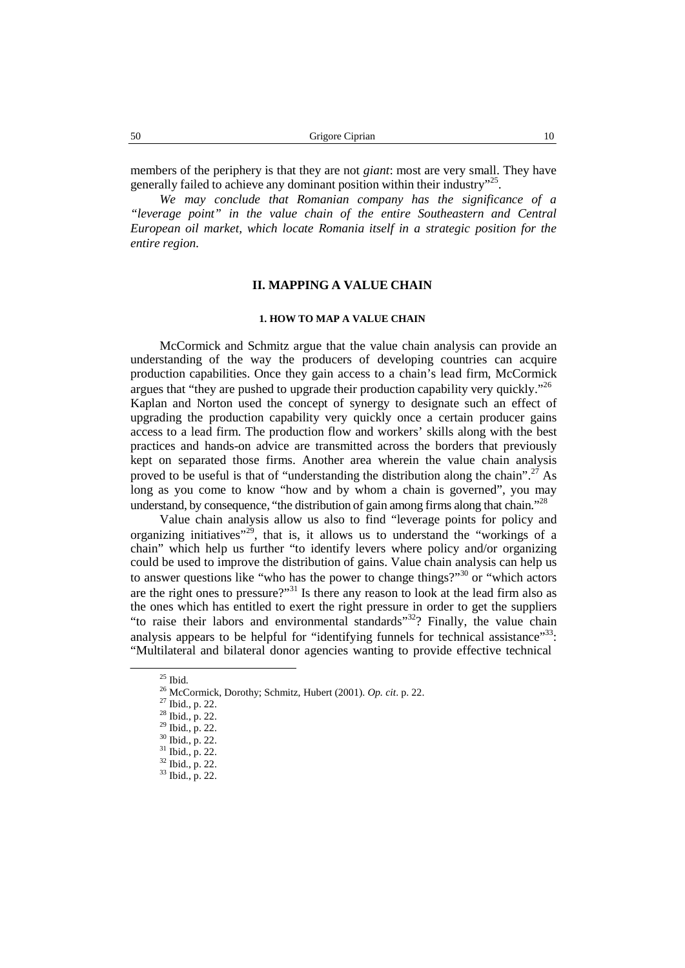members of the periphery is that they are not *giant*: most are very small. They have generally failed to achieve any dominant position within their industry"<sup>25</sup>.

*We may conclude that Romanian company has the significance of a "leverage point" in the value chain of the entire Southeastern and Central European oil market, which locate Romania itself in a strategic position for the entire region.*

# **II. MAPPING A VALUE CHAIN**

## **1. HOW TO MAP A VALUE CHAIN**

McCormick and Schmitz argue that the value chain analysis can provide an understanding of the way the producers of developing countries can acquire production capabilities. Once they gain access to a chain's lead firm, McCormick argues that "they are pushed to upgrade their production capability very quickly."<sup>26</sup> Kaplan and Norton used the concept of synergy to designate such an effect of upgrading the production capability very quickly once a certain producer gains access to a lead firm. The production flow and workers' skills along with the best practices and hands-on advice are transmitted across the borders that previously kept on separated those firms. Another area wherein the value chain analysis proved to be useful is that of "understanding the distribution along the chain".<sup>27</sup> As long as you come to know "how and by whom a chain is governed", you may understand, by consequence, "the distribution of gain among firms along that chain."<sup>28</sup>

Value chain analysis allow us also to find "leverage points for policy and organizing initiatives<sup>"29</sup>, that is, it allows us to understand the "workings of a chain" which help us further "to identify levers where policy and/or organizing could be used to improve the distribution of gains. Value chain analysis can help us to answer questions like "who has the power to change things?"<sup>30</sup> or "which actors are the right ones to pressure?"<sup>31</sup> Is there any reason to look at the lead firm also as the ones which has entitled to exert the right pressure in order to get the suppliers "to raise their labors and environmental standards"<sup>32</sup>? Finally, the value chain analysis appears to be helpful for "identifying funnels for technical assistance"<sup>33</sup>: "Multilateral and bilateral donor agencies wanting to provide effective technical

<sup>&</sup>lt;sup>25</sup> Ibid.<br><sup>26</sup> McCormick, Dorothy; Schmitz, Hubert (2001). *Op. cit.* p. 22.<br><sup>27</sup> Ibid., p. 22.<br><sup>29</sup> Ibid., p. 22.<br><sup>30</sup> Ibid., p. 22.<br><sup>31</sup> Ibid., p. 22.<br><sup>32</sup> Ibid., p. 22.<br><sup>32</sup> Ibid., p. 22.<br><sup>33</sup> Ibid., p. 22.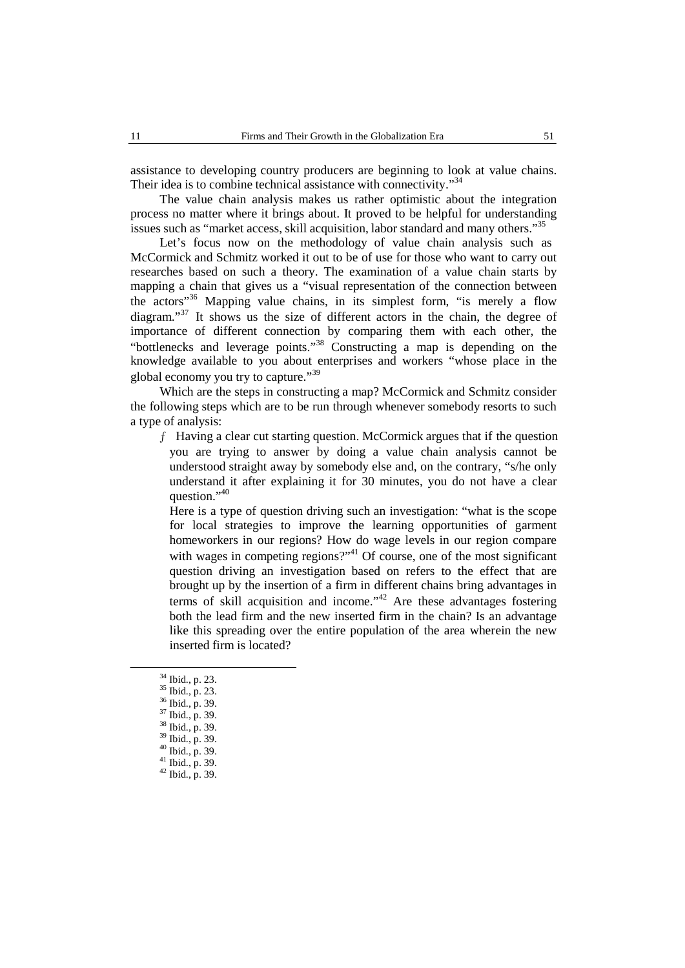assistance to developing country producers are beginning to look at value chains. Their idea is to combine technical assistance with connectivity."<sup>34</sup>

The value chain analysis makes us rather optimistic about the integration process no matter where it brings about. It proved to be helpful for understanding issues such as "market access, skill acquisition, labor standard and many others."<sup>35</sup>

Let's focus now on the methodology of value chain analysis such as McCormick and Schmitz worked it out to be of use for those who want to carry out researches based on such a theory. The examination of a value chain starts by mapping a chain that gives us a "visual representation of the connection between the actors" <sup>36</sup> Mapping value chains, in its simplest form, "is merely a flow diagram."<sup>37</sup> It shows us the size of different actors in the chain, the degree of importance of different connection by comparing them with each other, the "bottlenecks and leverage points."<sup>38</sup> Constructing a map is depending on the knowledge available to you about enterprises and workers "whose place in the global economy you try to capture."<sup>39</sup>

Which are the steps in constructing a map? McCormick and Schmitz consider the following steps which are to be run through whenever somebody resorts to such a type of analysis:

ƒ Having a clear cut starting question. McCormick argues that if the question you are trying to answer by doing a value chain analysis cannot be understood straight away by somebody else and, on the contrary, "s/he only understand it after explaining it for 30 minutes, you do not have a clear question."<sup>40</sup>

Here is a type of question driving such an investigation: "what is the scope for local strategies to improve the learning opportunities of garment homeworkers in our regions? How do wage levels in our region compare with wages in competing regions?"<sup>41</sup> Of course, one of the most significant question driving an investigation based on refers to the effect that are brought up by the insertion of a firm in different chains bring advantages in terms of skill acquisition and income.<sup> $142$ </sup> Are these advantages fostering both the lead firm and the new inserted firm in the chain? Is an advantage like this spreading over the entire population of the area wherein the new inserted firm is located?

<sup>34</sup> Ibid., p. 23.<br>
35 Ibid., p. 23.<br>
36 Ibid., p. 39.<br>
37 Ibid., p. 39.<br>
38 Ibid., p. 39.<br>
40 Ibid., p. 39.<br>
41 Ibid., p. 39.<br>
42 Ibid., p. 39.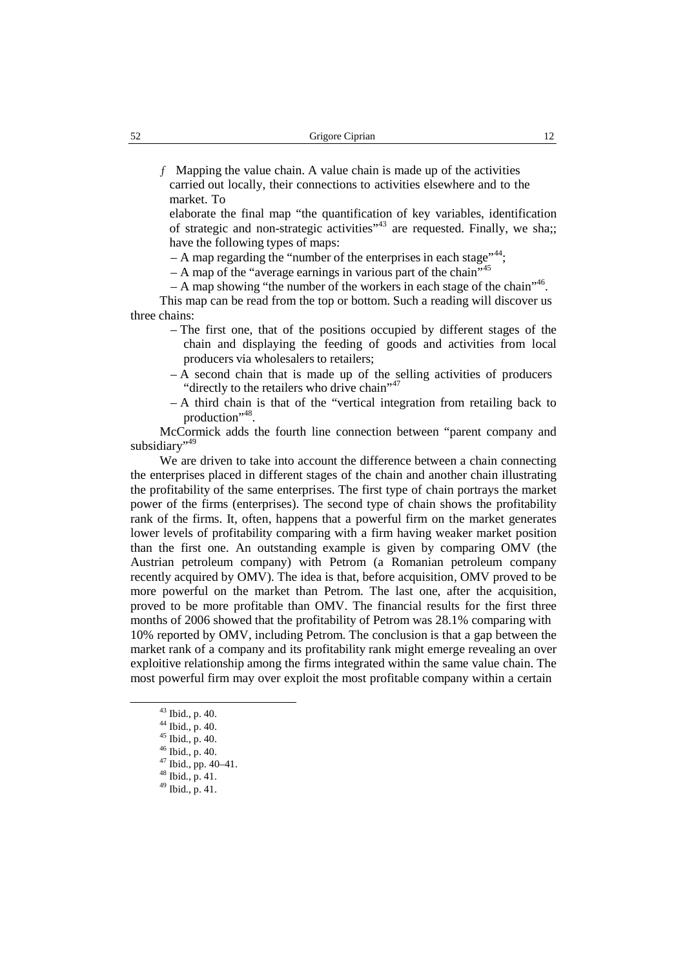$f$  Mapping the value chain. A value chain is made up of the activities carried out locally, their connections to activities elsewhere and to the market. To

elaborate the final map "the quantification of key variables, identification of strategic and non-strategic activities"<sup>43</sup> are requested. Finally, we sha;; have the following types of maps:

– A map regarding the "number of the enterprises in each stage"<sup>44</sup>;

– A map of the "average earnings in various part of the chain"<sup>45</sup>

– A map showing "the number of the workers in each stage of the chain"<sup>46</sup>.

This map can be read from the top or bottom. Such a reading will discover us three chains:

- The first one, that of the positions occupied by different stages of the chain and displaying the feeding of goods and activities from local producers via wholesalers to retailers;
- A second chain that is made up of the selling activities of producers "directly to the retailers who drive chain" 47
- A third chain is that of the "vertical integration from retailing back to production"<sup>48</sup> .

McCormick adds the fourth line connection between "parent company and subsidiary"<sup>49</sup>

We are driven to take into account the difference between a chain connecting the enterprises placed in different stages of the chain and another chain illustrating the profitability of the same enterprises. The first type of chain portrays the market power of the firms (enterprises). The second type of chain shows the profitability rank of the firms. It, often, happens that a powerful firm on the market generates lower levels of profitability comparing with a firm having weaker market position than the first one. An outstanding example is given by comparing OMV (the Austrian petroleum company) with Petrom (a Romanian petroleum company recently acquired by OMV). The idea is that, before acquisition, OMV proved to be more powerful on the market than Petrom. The last one, after the acquisition, proved to be more profitable than OMV. The financial results for the first three months of 2006 showed that the profitability of Petrom was 28.1% comparing with 10% reported by OMV, including Petrom. The conclusion is that a gap between the market rank of a company and its profitability rank might emerge revealing an over exploitive relationship among the firms integrated within the same value chain. The most powerful firm may over exploit the most profitable company within a certain

<sup>43</sup> Ibid., p. 40.

<sup>44</sup> Ibid., p. 40.

<sup>45</sup> Ibid., p. 40.

<sup>46</sup> Ibid., p. 40.

<sup>47</sup> Ibid., pp. 40–41.

<sup>48</sup> Ibid., p. 41.

<sup>49</sup> Ibid., p. 41.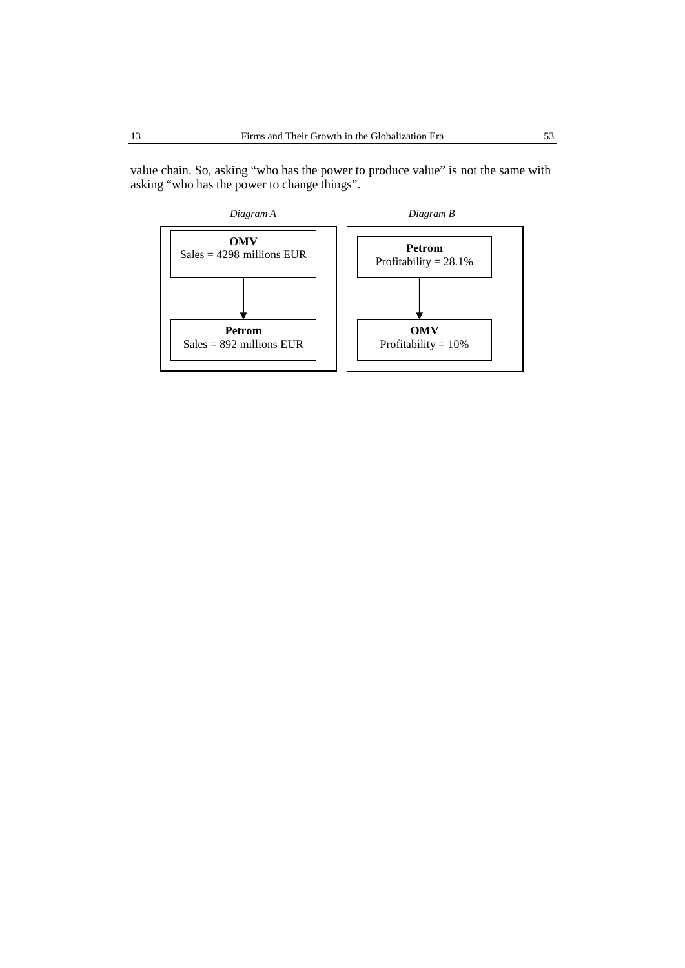value chain. So, asking "who has the power to produce value" is not the same with asking "who has the power to change things".